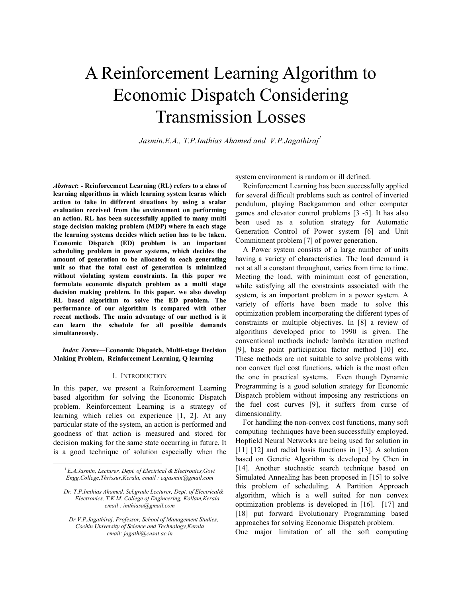# A Reinforcement Learning Algorithm to Economic Dispatch Considering Transmission Losses

Jasmin.E.A., T.P. Imthias Ahamed and V.P. Jagathiraj<sup>1</sup>

*Abstract***: - Reinforcement Learning (RL) refers to a class of learning algorithms in which learning system learns which action to take in different situations by using a scalar evaluation received from the environment on performing an action. RL has been successfully applied to many multi stage decision making problem (MDP) where in each stage the learning systems decides which action has to be taken. Economic Dispatch (ED) problem is an important scheduling problem in power systems, which decides the amount of generation to be allocated to each generating unit so that the total cost of generation is minimized without violating system constraints. In this paper we formulate economic dispatch problem as a multi stage decision making problem. In this paper, we also develop RL based algorithm to solve the ED problem. The performance of our algorithm is compared with other recent methods. The main advantage of our method is it can learn the schedule for all possible demands simultaneously.** 

## *Index Terms***—Economic Dispatch, Multi-stage Decision Making Problem, Reinforcement Learning, Q learning**

## I. INTRODUCTION

In this paper, we present a Reinforcement Learning based algorithm for solving the Economic Dispatch problem. Reinforcement Learning is a strategy of learning which relies on experience [1, 2]. At any particular state of the system, an action is performed and goodness of that action is measured and stored for decision making for the same state occurring in future. It is a good technique of solution especially when the

 $\overline{a}$ 

system environment is random or ill defined.

 Reinforcement Learning has been successfully applied for several difficult problems such as control of inverted pendulum, playing Backgammon and other computer games and elevator control problems [3 -5]. It has also been used as a solution strategy for Automatic Generation Control of Power system [6] and Unit Commitment problem [7] of power generation.

 A Power system consists of a large number of units having a variety of characteristics. The load demand is not at all a constant throughout, varies from time to time. Meeting the load, with minimum cost of generation, while satisfying all the constraints associated with the system, is an important problem in a power system. A variety of efforts have been made to solve this optimization problem incorporating the different types of constraints or multiple objectives. In [8] a review of algorithms developed prior to 1990 is given. The conventional methods include lambda iteration method [9], base point participation factor method [10] etc. These methods are not suitable to solve problems with non convex fuel cost functions, which is the most often the one in practical systems. Even though Dynamic Programming is a good solution strategy for Economic Dispatch problem without imposing any restrictions on the fuel cost curves [9], it suffers from curse of dimensionality.

For handling the non-convex cost functions, many soft computing techniques have been successfully employed. Hopfield Neural Networks are being used for solution in [11] [12] and radial basis functions in [13]. A solution based on Genetic Algorithm is developed by Chen in [14]. Another stochastic search technique based on Simulated Annealing has been proposed in [15] to solve this problem of scheduling. A Partition Approach algorithm, which is a well suited for non convex optimization problems is developed in [16]. [17] and [18] put forward Evolutionary Programming based approaches for solving Economic Dispatch problem. One major limitation of all the soft computing

*<sup>1</sup> E.A.Jasmin, Lecturer, Dept. of Electrical & Electronics,Govt Engg.College,Thrissur,Kerala, email : eajasmin@gmail.com* 

*Dr. T.P.Imthias Ahamed, Sel.grade Lecturer, Dept. of Electrical& Electronics, T.K.M. College of Engineering, Kollam,Kerala email : imthiasa@gmail.com* 

*Dr.V.P.Jagathiraj, Professor, School of Management Studies, Cochin University of Science and Technology,Kerala email: jagathi@cusat.ac.in*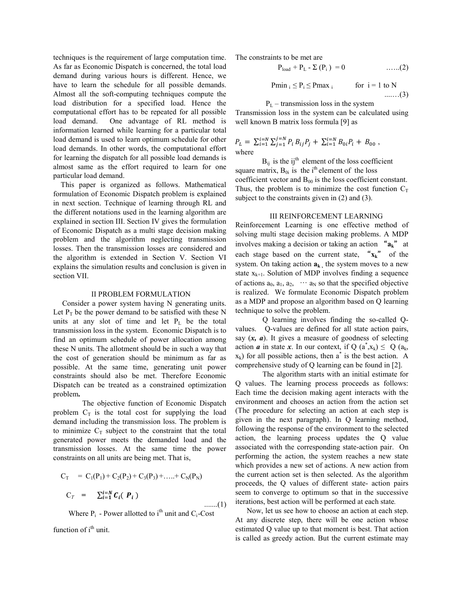techniques is the requirement of large computation time. As far as Economic Dispatch is concerned, the total load demand during various hours is different. Hence, we have to learn the schedule for all possible demands. Almost all the soft-computing techniques compute the load distribution for a specified load. Hence the computational effort has to be repeated for all possible load demand. One advantage of RL method is information learned while learning for a particular total load demand is used to learn optimum schedule for other load demands. In other words, the computational effort for learning the dispatch for all possible load demands is almost same as the effort required to learn for one particular load demand.

 This paper is organized as follows. Mathematical formulation of Economic Dispatch problem is explained in next section. Technique of learning through RL and the different notations used in the learning algorithm are explained in section III. Section IV gives the formulation of Economic Dispatch as a multi stage decision making problem and the algorithm neglecting transmission losses. Then the transmission losses are considered and the algorithm is extended in Section V. Section VI explains the simulation results and conclusion is given in section VII.

#### II PROBLEM FORMULATION

Consider a power system having N generating units. Let  $P_T$  be the power demand to be satisfied with these N units at any slot of time and let  $P_L$  be the total transmission loss in the system. Economic Dispatch is to find an optimum schedule of power allocation among these N units. The allotment should be in such a way that the cost of generation should be minimum as far as possible. At the same time, generating unit power constraints should also be met. Therefore Economic Dispatch can be treated as a constrained optimization problem**.**

 The objective function of Economic Dispatch problem  $C_T$  is the total cost for supplying the load demand including the transmission loss. The problem is to minimize  $C_T$  subject to the constraint that the total generated power meets the demanded load and the transmission losses. At the same time the power constraints on all units are being met. That is,

$$
C_{T} = C_{1}(P_{1}) + C_{2}(P_{2}) + C_{3}(P_{3}) + \dots + C_{N}(P_{N})
$$
  
\n
$$
C_{T} = \sum_{i=1}^{i=N} C_{i}(P_{i})
$$
  
\n
$$
\dots \dots (1)
$$

Where  $P_i$  - Power allotted to  $i<sup>th</sup>$  unit and  $C_i$ -Cost

function of  $i<sup>th</sup>$  unit.

The constraints to be met are

$$
P_{load} + P_L - \Sigma (P_i) = 0 \qquad \qquad \ldots (2)
$$

$$
Pmin_i \le P_i \le Pmax_i \qquad \text{for } i = 1 \text{ to } N
$$
 .......(3)

 $P_L$  – transmission loss in the system

Transmission loss in the system can be calculated using well known B matrix loss formula [9] as

$$
P_L = \sum_{i=1}^{i=N} \sum_{j=1}^{j=N} P_i B_{ij} P_j + \sum_{i=1}^{i=N} B_{0i} P_i + B_{00}
$$
, where

 $B_{ij}$  is the ij<sup>th</sup> element of the loss coefficient square matrix,  $B_{0i}$  is the i<sup>th</sup> element of the loss coefficient vector and  $B_{00}$  is the loss coefficient constant. Thus, the problem is to minimize the cost function  $C_T$ subject to the constraints given in  $(2)$  and  $(3)$ .

#### III REINFORCEMENT LEARNING

Reinforcement Learning is one effective method of solving multi stage decision making problems. A MDP involves making a decision or taking an action  $a_k$ <sup>n</sup> at each stage based on the current state,  $x_k$  of the system. On taking action  $a_k$ , the system moves to a new state  $x_{k+1}$ . Solution of MDP involves finding a sequence of actions  $a_0$ ,  $a_1$ ,  $a_2$ ,  $\cdots$   $a_N$  so that the specified objective is realized. We formulate Economic Dispatch problem as a MDP and propose an algorithm based on Q learning technique to solve the problem.

Q learning involves finding the so-called Qvalues. Q-values are defined for all state action pairs, say (*x, a*). It gives a measure of goodness of selecting action *a* in state *x*. In our context, if Q  $(a^*_{x_k}) \le Q(a_k,$  $x<sub>k</sub>$ ) for all possible actions, then  $a<sup>*</sup>$  is the best action. A comprehensive study of Q learning can be found in [2].

The algorithm starts with an initial estimate for Q values. The learning process proceeds as follows: Each time the decision making agent interacts with the environment and chooses an action from the action set (The procedure for selecting an action at each step is given in the next paragraph). In Q learning method, following the response of the environment to the selected action, the learning process updates the Q value associated with the corresponding state-action pair. On performing the action, the system reaches a new state which provides a new set of actions. A new action from the current action set is then selected. As the algorithm proceeds, the Q values of different state- action pairs seem to converge to optimum so that in the successive iterations, best action will be performed at each state*.* 

 Now, let us see how to choose an action at each step. At any discrete step, there will be one action whose estimated Q value up to that moment is best. That action is called as greedy action. But the current estimate may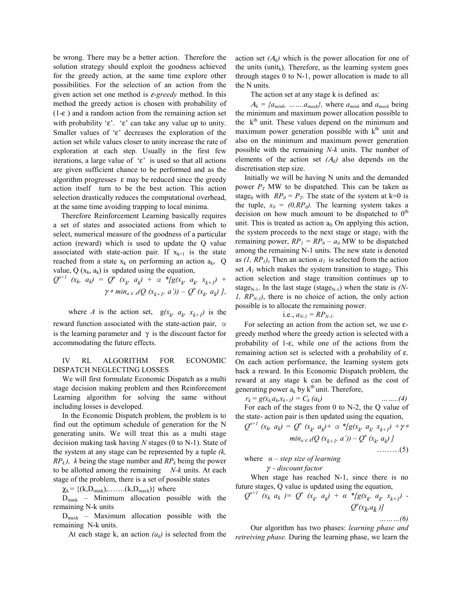be wrong. There may be a better action. Therefore the solution strategy should exploit the goodness achieved for the greedy action, at the same time explore other possibilities. For the selection of an action from the given action set one method is ε*-greedy* method. In this method the greedy action is chosen with probability of  $(1-\varepsilon)$  and a random action from the remaining action set with probability ' $\varepsilon$ '. ' $\varepsilon$ ' can take any value up to unity. Smaller values of 'ε' decreases the exploration of the action set while values closer to unity increase the rate of exploration at each step. Usually in the first few iterations, a large value of ' $\varepsilon$ ' is used so that all actions are given sufficient chance to be performed and as the algorithm progresses  $\varepsilon$  may be reduced since the greedy action itself turn to be the best action. This action selection drastically reduces the computational overhead, at the same time avoiding trapping to local minima.

Therefore Reinforcement Learning basically requires a set of states and associated actions from which to select, numerical measure of the goodness of a particular action (reward) which is used to update the Q value associated with state-action pair. If  $x_{k+1}$  is the state reached from a state  $x_k$  on performing an action  $a_k$ , Q value,  $Q(x_k, a_k)$  is updated using the equation,

$$
Q^{n+1} (x_k a_k) = Q^n (x_k a_k) + \alpha * [g(x_k a_k x_{k+1}) +
$$
  

$$
\gamma * min_{a' \in A} (Q (x_{k+1}, a')) - Q^n (x_k a_k) ],
$$

where *A* is the action set,  $g(x_k, a_k, x_{k+l})$  is the reward function associated with the state-action pair,  $\alpha$ is the learning parameter and  $\gamma$  is the discount factor for accommodating the future effects.

IV RL ALGORITHM FOR ECONOMIC DISPATCH NEGLECTING LOSSES

We will first formulate Economic Dispatch as a multi stage decision making problem and then Reinforcement Learning algorithm for solving the same without including losses is developed.

In the Economic Dispatch problem, the problem is to find out the optimum schedule of generation for the N generating units. We will treat this as a multi stage decision making task having *N* stages (0 to N-1). State of the system at any stage can be represented by a tuple *(k,*   $RP_k$ , k being the stage number and  $RP_k$  being the power to be allotted among the remaining *N-k* units. At each stage of the problem, there is a set of possible states

 $\chi_k$  = {(k,D<sub>mink</sub>),.......(k,D<sub>maxk</sub>)} where

 $D_{\text{mink}}$  – Minimum allocation possible with the remaining N-k units

 $D_{\text{maxk}}$  – Maximum allocation possible with the remaining N-k units.

At each stage k, an action  $(a_k)$  is selected from the

action set  $(A_k)$  which is the power allocation for one of the units (unit<sub>k</sub>). Therefore, as the learning system goes through stages 0 to N-1, power allocation is made to all the N units.

The action set at any stage k is defined as:

 $A_k = \{a_{mink}, \ldots, a_{maxk}\}\$ , where  $a_{mink}$  and  $a_{maxk}$  being the minimum and maximum power allocation possible to the  $k<sup>th</sup>$  unit. These values depend on the minimum and maximum power generation possible with  $k<sup>th</sup>$  unit and also on the minimum and maximum power generation possible with the remaining *N-k* units. The number of elements of the action set *(*Α*k)* also depends on the discretisation step size.

Initially we will be having N units and the demanded power  $P_T$  MW to be dispatched. This can be taken as stage<sub>0</sub> with  $RP_0 = P_T$ . The state of the system at k=0 is the tuple,  $x_0 = (0, RP_0)$ . The learning system takes a decision on how much amount to be dispatched to  $0<sup>th</sup>$ unit. This is treated as action  $a_0$ . On applying this action, the system proceeds to the next stage or stage<sub>1</sub> with the remaining power,  $RP_1 = RP_0 - a_0$  MW to be dispatched among the remaining N-1 units. The new state is denoted as  $(I, RP<sub>1</sub>)$ , Then an action  $a<sub>1</sub>$  is selected from the action set  $A<sub>l</sub>$  which makes the system transition to stage<sub>2</sub>. This action selection and stage transition continues up to stage<sub>N-1</sub>. In the last stage (stage<sub>N-1</sub>) when the state is  $(N-$ *1,*  $RP_{N-1}$ *,* there is no choice of action, the only action possible is to allocate the remaining power.

i.e., 
$$
a_{N-l} = RP_{N-l}
$$
.

For selecting an action from the action set, we use  $\varepsilon$ greedy method where the greedy action is selected with a probability of 1-ε, while one of the actions from the remaining action set is selected with a probability of ε. On each action performance, the learning system gets back a reward. In this Economic Dispatch problem, the reward at any stage k can be defined as the cost of generating power  $a_k$  by  $k^{\text{th}}$  unit. Therefore,

$$
r_k = g(x_k a_k x_{k+1}) = C_k (a_k) \qquad \qquad \ldots \ldots (4)
$$

For each of the stages from 0 to N-2, the Q value of the state- action pair is then updated using the equation,

$$
Q^{n+1} (x_k a_k) = Q^n (x_k a_k) + \alpha * [g(x_k a_k x_{k+1}) + \gamma * min_{a' \in A} (Q (x_{k+1}, a')) - Q^n (x_k a_k)]
$$
  
......(5)

where *α – step size of learning* γ *- discount factor* 

 When stage has reached N-1, since there is no future stages, Q value is updated using the equation,

$$
Q^{n+1} (x_k a_k) = Q^n (x_k a_k) + \alpha * [g(x_k a_k x_{k+1}) - Q^n(x_k a_k)]
$$

 *………(6)* 

Our algorithm has two phases: *learning phase and retreiving phase.* During the learning phase, we learn the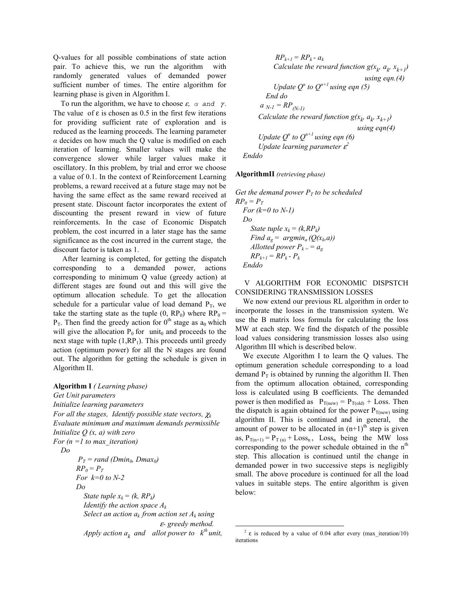Q-values for all possible combinations of state action pair. To achieve this, we run the algorithm with randomly generated values of demanded power sufficient number of times. The entire algorithm for learning phase is given in Algorithm I.

To run the algorithm, we have to choose  $\varepsilon$ ,  $\alpha$  and  $\gamma$ . The value of  $\varepsilon$  is chosen as 0.5 in the first few iterations for providing sufficient rate of exploration and is reduced as the learning proceeds. The learning parameter *α* decides on how much the Q value is modified on each iteration of learning. Smaller values will make the convergence slower while larger values make it oscillatory. In this problem, by trial and error we choose a value of 0.1. In the context of Reinforcement Learning problems, a reward received at a future stage may not be having the same effect as the same reward received at present state. Discount factor incorporates the extent of discounting the present reward in view of future reinforcements. In the case of Economic Dispatch problem, the cost incurred in a later stage has the same significance as the cost incurred in the current stage, the discount factor is taken as 1.

After learning is completed, for getting the dispatch corresponding to a demanded power, actions corresponding to minimum Q value (greedy action) at different stages are found out and this will give the optimum allocation schedule. To get the allocation schedule for a particular value of load demand  $P_T$ , we take the starting state as the tuple  $(0, RP_0)$  where  $RP_0 =$  $P_T$ . Then find the greedy action for 0<sup>th</sup> stage as a<sub>0</sub> which will give the allocation  $P_0$  for unit<sub>0</sub> and proceeds to the next stage with tuple  $(1,RP_1)$ . This proceeds until greedy action (optimum power) for all the N stages are found out. The algorithm for getting the schedule is given in Algorithm II.

## **Algorithm I** *( Learning phase)*

*Get Unit parameters Initialize learning parameters For all the stages, Identify possible state vectors,* χ*<sup>k</sup> Evaluate minimum and maximum demands permissible Initialize Q (x, a) with zero For (n =1 to max\_iteration) Do*   $P_T$  = rand (Dmin<sub>0</sub>, Dmax<sub>0</sub>)  $RP_0 = P_T$  *For k=0 to N-2 Do State tuple*  $x_k = (k, RP_k)$  *Identify the action space Ak Select an action*  $a_k$  *from action set*  $A_k$  *using* <sup>ε</sup>*- greedy method. Apply action*  $a_k$  *and allot power to*  $k<sup>th</sup>$ *unit,* 

$$
RP_{k+1} = RP_k - a_k
$$
  
\nCalculate the reward function  $g(x_k, a_k, x_{k+1})$   
\nusing eqn. (4)  
\nUpdate  $Q^n$  to  $Q^{n+1}$  using eqn (5)  
\nEnd do  
\n $a_{N-1} = RP_{(N-1)}$   
\nCalculate the reward function  $g(x_k, a_k, x_{k+1})$   
\nusing eqn(4)  
\nUpdate  $Q^n$  to  $Q^{n+1}$  using eqn (6)  
\nUpdate learning parameter  $\epsilon^2$   
\nEnddo

**AlgorithmII** *(retrieving phase)*

*Get the demand power*  $P<sub>T</sub>$  *to be scheduled*  $RP_0 = P_T$  *For (k=0 to N-1) Do State tuple*  $x_k = (k_R P_k)$ *Find*  $a_g = argmin_a (Q(x_k, a))$ *Allotted power*  $P_k = a_g$  $RP_{k+1} = RP_k - P_k$  *Enddo* 

# V ALGORITHM FOR ECONOMIC DISPSTCH CONSIDERING TRANSMISSION LOSSES

We now extend our previous RL algorithm in order to incorporate the losses in the transmission system. We use the B matrix loss formula for calculating the loss MW at each step. We find the dispatch of the possible load values considering transmission losses also using Algorithm III which is described below.

We execute Algorithm I to learn the Q values. The optimum generation schedule corresponding to a load demand  $P_T$  is obtained by running the algorithm II. Then from the optimum allocation obtained, corresponding loss is calculated using B coefficients. The demanded power is then modified as  $P_{T(new)} = P_{T(old)} + Loss$ . Then the dispatch is again obtained for the power  $P_{T(new)}$  using algorithm II. This is continued and in general, the amount of power to be allocated in  $(n+1)$ <sup>th</sup> step is given as,  $P_{T(n+1)} = P_{T(n)} + Loss_n$ , Loss<sub>n</sub> being the MW loss corresponding to the power schedule obtained in the  $n<sup>th</sup>$ step. This allocation is continued until the change in demanded power in two successive steps is negligibly small. The above procedure is continued for all the load values in suitable steps. The entire algorithm is given below:

<sup>&</sup>lt;sup>2</sup>  $\varepsilon$  is reduced by a value of 0.04 after every (max\_iteration/10) iterations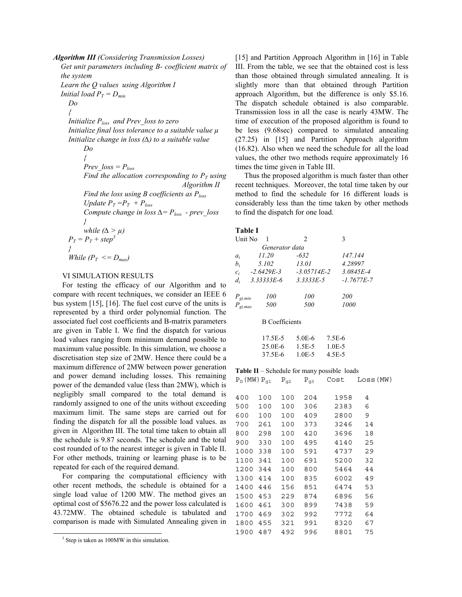*Algorithm III (Considering Transmission Losses) Get unit parameters including B- coefficient matrix of the system Learn the Q values using Algorithm I Initial load*  $P_T = D_{min}$  *Do { Initialize Ploss and Prev\_loss to zero Initialize final loss tolerance to a suitable value µ Initialize change in loss (∆) to a suitable value Do { Prev\_loss =*  $P_{loss}$ *Find the allocation corresponding to*  $P<sub>T</sub>$  *using Algorithm II Find the loss using B coefficients as Ploss Update*  $P_T = P_T + P_{loss}$ *Compute change in loss*  $\Delta = P_{loss}$  - *prev\_loss } while (∆ > µ)*   $P_T = P_T + step^3$  *} While*  $(P_T \leq D_{max})$ 

## VI SIMULATION RESULTS

For testing the efficacy of our Algorithm and to compare with recent techniques, we consider an IEEE 6 bus system [15], [16]. The fuel cost curve of the units is represented by a third order polynomial function. The associated fuel cost coefficients and B-matrix parameters are given in Table I. We find the dispatch for various load values ranging from minimum demand possible to maximum value possible. In this simulation, we choose a discretisation step size of 2MW. Hence there could be a maximum difference of 2MW between power generation and power demand including losses. This remaining power of the demanded value (less than 2MW), which is negligibly small compared to the total demand is randomly assigned to one of the units without exceeding maximum limit. The same steps are carried out for finding the dispatch for all the possible load values. as given in Algorithm III. The total time taken to obtain all the schedule is 9.87 seconds. The schedule and the total cost rounded of to the nearest integer is given in Table II. For other methods, training or learning phase is to be repeated for each of the required demand.

For comparing the computational efficiency with other recent methods, the schedule is obtained for a single load value of 1200 MW. The method gives an optimal cost of \$5676.22 and the power loss calculated is 43.72MW. The obtained schedule is tabulated and comparison is made with Simulated Annealing given in [15] and Partition Approach Algorithm in [16] in Table III. From the table, we see that the obtained cost is less than those obtained through simulated annealing. It is slightly more than that obtained through Partition approach Algorithm, but the difference is only \$5.16. The dispatch schedule obtained is also comparable. Transmission loss in all the case is nearly 43MW. The time of execution of the proposed algorithm is found to be less (9.68sec) compared to simulated annealing (27.25) in [15] and Partition Approach algorithm (16.82). Also when we need the schedule for all the load values, the other two methods require approximately 16 times the time given in Table III.

Thus the proposed algorithm is much faster than other recent techniques. Moreover, the total time taken by our method to find the schedule for 16 different loads is considerably less than the time taken by other methods to find the dispatch for one load.

## **Table I**

| Unit No               | $\mathcal{D}_{\cdot}$ | 3             |
|-----------------------|-----------------------|---------------|
| Generator data        |                       |               |
| 11.20<br>$a_i$        | $-632$                | 147.144       |
| $b_i$<br>5.102        | 13.01                 | 4.28997       |
| $-2.6429E-3$<br>$c_i$ | $-3.05714E-2$         | $3.0845E - 4$ |
| d,<br>3.33333E-6      | $3.3333E - 5$         | $-1.7677E-7$  |
| 100<br>$P_{gi,min}$   | 100                   | <i>200</i>    |
| 500<br>$P_{gi,max}$   | 500                   | 1000          |

B Coefficients

| 17.5E-5 | 5.0E-6 | 7.5E-6 |
|---------|--------|--------|
| 25.0E-6 | 1.5E-5 | 1.0E-5 |
| 37.5E-6 | 1.0E-5 | 4.5E-5 |

## **Table II** – Schedule for many possible loads

| $P_D$ (MW) $P_{q1}$ |     | $P_{g2}$ | $P_{g3}$ | Cost | Loss (MW) |
|---------------------|-----|----------|----------|------|-----------|
| 400                 | 100 | 100      | 204      | 1958 | 4         |
| 500                 | 100 | 100      | 306      | 2383 | 6         |
| 600                 | 100 | 100      | 409      | 2800 | 9         |
| 700                 | 261 | 100      | 373      | 3246 | 14        |
| 800                 | 298 | 100      | 420      | 3696 | 18        |
| 900                 | 330 | 100      | 495      | 4140 | 25        |
| 1000                | 338 | 100      | 591      | 4737 | 29        |
| 1100                | 341 | 100      | 691      | 5200 | 32        |
| 1200                | 344 | 100      | 800      | 5464 | 44        |
| 1300                | 414 | 100      | 835      | 6002 | 49        |
| 1400                | 446 | 156      | 851      | 6474 | 53        |
| 1500                | 453 | 229      | 874      | 6896 | 56        |
| 1600                | 461 | 300      | 899      | 7438 | 59        |
| 1700                | 469 | 302      | 992      | 7772 | 64        |
| 1800                | 455 | 321      | 991      | 8320 | 67        |
| 1900                | 487 | 492      | 996      | 8801 | 75        |

<sup>&</sup>lt;sup>3</sup> Step is taken as 100MW in this simulation.